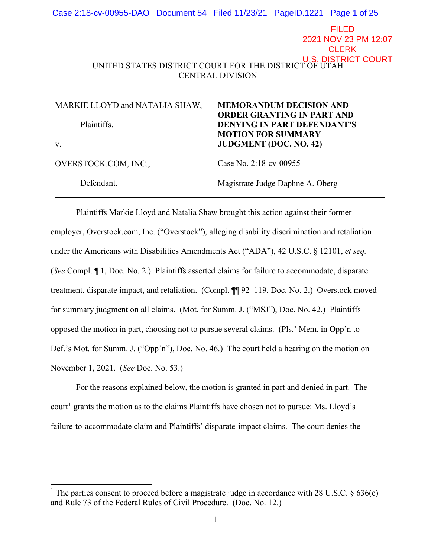| Case 2:18-cv-00955-DAO Document 54 Filed 11/23/21 PageID.1221 Page 1 of 25                              |  |                                                                                                                                                                         |  |                                               |
|---------------------------------------------------------------------------------------------------------|--|-------------------------------------------------------------------------------------------------------------------------------------------------------------------------|--|-----------------------------------------------|
|                                                                                                         |  |                                                                                                                                                                         |  | <b>FILED</b><br>2021 NOV 23 PM 12:07<br>า FRK |
| U.S. DISTRICT COURT<br>UNITED STATES DISTRICT COURT FOR THE DISTRICT OF UTAH<br><b>CENTRAL DIVISION</b> |  |                                                                                                                                                                         |  |                                               |
| MARKIE LLOYD and NATALIA SHAW,<br>Plaintiffs.<br>V.                                                     |  | <b>MEMORANDUM DECISION AND</b><br><b>ORDER GRANTING IN PART AND</b><br><b>DENYING IN PART DEFENDANT'S</b><br><b>MOTION FOR SUMMARY</b><br><b>JUDGMENT</b> (DOC. NO. 42) |  |                                               |
| OVERSTOCK.COM, INC.,                                                                                    |  | Case No. 2:18-cv-00955                                                                                                                                                  |  |                                               |
| Defendant.                                                                                              |  | Magistrate Judge Daphne A. Oberg                                                                                                                                        |  |                                               |

Plaintiffs Markie Lloyd and Natalia Shaw brought this action against their former employer, Overstock.com, Inc. ("Overstock"), alleging disability discrimination and retaliation under the Americans with Disabilities Amendments Act ("ADA"), 42 U.S.C. § 12101, *et seq.* (*See* Compl. ¶ 1, Doc. No. 2.) Plaintiffs asserted claims for failure to accommodate, disparate treatment, disparate impact, and retaliation. (Compl. ¶¶ 92–119, Doc. No. 2.) Overstock moved for summary judgment on all claims. (Mot. for Summ. J. ("MSJ"), Doc. No. 42.) Plaintiffs opposed the motion in part, choosing not to pursue several claims. (Pls.' Mem. in Opp'n to Def.'s Mot. for Summ. J. ("Opp'n"), Doc. No. 46.) The court held a hearing on the motion on November 1, 2021. (*See* Doc. No. 53.)

For the reasons explained below, the motion is granted in part and denied in part. The court<sup>[1](#page-0-0)</sup> grants the motion as to the claims Plaintiffs have chosen not to pursue: Ms. Lloyd's failure-to-accommodate claim and Plaintiffs' disparate-impact claims. The court denies the

<span id="page-0-0"></span><sup>&</sup>lt;sup>1</sup> The parties consent to proceed before a magistrate judge in accordance with 28 U.S.C.  $\S 636(c)$ and Rule 73 of the Federal Rules of Civil Procedure. (Doc. No. 12.)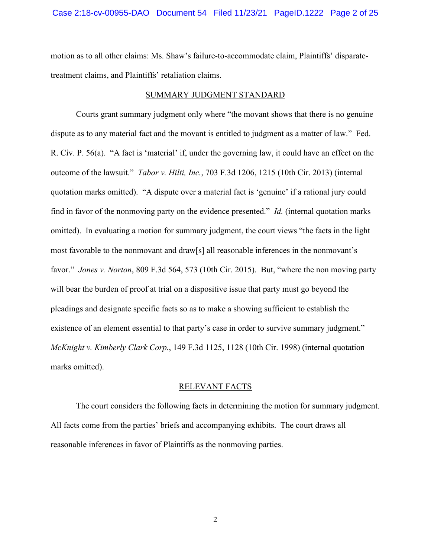motion as to all other claims: Ms. Shaw's failure-to-accommodate claim, Plaintiffs' disparatetreatment claims, and Plaintiffs' retaliation claims.

### SUMMARY JUDGMENT STANDARD

Courts grant summary judgment only where "the movant shows that there is no genuine dispute as to any material fact and the movant is entitled to judgment as a matter of law." Fed. R. Civ. P. 56(a). "A fact is 'material' if, under the governing law, it could have an effect on the outcome of the lawsuit." *Tabor v. Hilti, Inc.*, 703 F.3d 1206, 1215 (10th Cir. 2013) (internal quotation marks omitted). "A dispute over a material fact is 'genuine' if a rational jury could find in favor of the nonmoving party on the evidence presented." *Id.* (internal quotation marks omitted). In evaluating a motion for summary judgment, the court views "the facts in the light most favorable to the nonmovant and draw[s] all reasonable inferences in the nonmovant's favor." *Jones v. Norton*, 809 F.3d 564, 573 (10th Cir. 2015). But, "where the non moving party will bear the burden of proof at trial on a dispositive issue that party must go beyond the pleadings and designate specific facts so as to make a showing sufficient to establish the existence of an element essential to that party's case in order to survive summary judgment." *McKnight v. Kimberly Clark Corp.*, 149 F.3d 1125, 1128 (10th Cir. 1998) (internal quotation marks omitted).

## RELEVANT FACTS

The court considers the following facts in determining the motion for summary judgment. All facts come from the parties' briefs and accompanying exhibits. The court draws all reasonable inferences in favor of Plaintiffs as the nonmoving parties.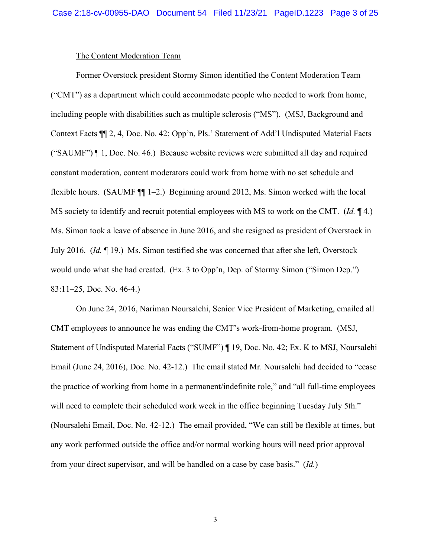## The Content Moderation Team

Former Overstock president Stormy Simon identified the Content Moderation Team ("CMT") as a department which could accommodate people who needed to work from home, including people with disabilities such as multiple sclerosis ("MS"). (MSJ, Background and Context Facts ¶¶ 2, 4, Doc. No. 42; Opp'n, Pls.' Statement of Add'l Undisputed Material Facts ("SAUMF") ¶ 1, Doc. No. 46.) Because website reviews were submitted all day and required constant moderation, content moderators could work from home with no set schedule and flexible hours. (SAUMF ¶¶ 1–2.) Beginning around 2012, Ms. Simon worked with the local MS society to identify and recruit potential employees with MS to work on the CMT. (*Id.* ¶ 4.) Ms. Simon took a leave of absence in June 2016, and she resigned as president of Overstock in July 2016. (*Id.* ¶ 19.) Ms. Simon testified she was concerned that after she left, Overstock would undo what she had created. (Ex. 3 to Opp'n, Dep. of Stormy Simon ("Simon Dep.") 83:11–25, Doc. No. 46-4.)

On June 24, 2016, Nariman Noursalehi, Senior Vice President of Marketing, emailed all CMT employees to announce he was ending the CMT's work-from-home program. (MSJ, Statement of Undisputed Material Facts ("SUMF") ¶ 19, Doc. No. 42; Ex. K to MSJ, Noursalehi Email (June 24, 2016), Doc. No. 42-12.) The email stated Mr. Noursalehi had decided to "cease the practice of working from home in a permanent/indefinite role," and "all full-time employees will need to complete their scheduled work week in the office beginning Tuesday July 5th." (Noursalehi Email, Doc. No. 42-12.) The email provided, "We can still be flexible at times, but any work performed outside the office and/or normal working hours will need prior approval from your direct supervisor, and will be handled on a case by case basis." (*Id.*)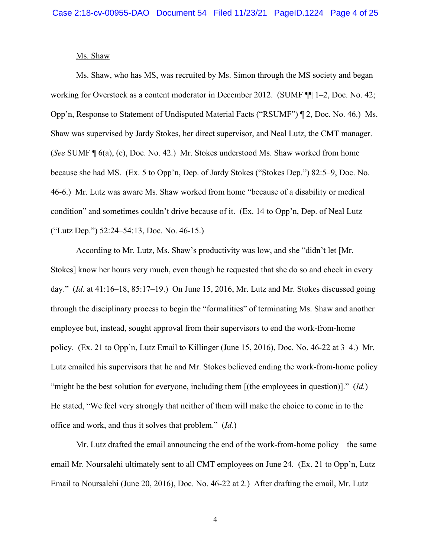#### Ms. Shaw

Ms. Shaw, who has MS, was recruited by Ms. Simon through the MS society and began working for Overstock as a content moderator in December 2012. (SUMF ¶¶ 1–2, Doc. No. 42; Opp'n, Response to Statement of Undisputed Material Facts ("RSUMF") ¶ 2, Doc. No. 46.) Ms. Shaw was supervised by Jardy Stokes, her direct supervisor, and Neal Lutz, the CMT manager. (*See* SUMF ¶ 6(a), (e), Doc. No. 42.) Mr. Stokes understood Ms. Shaw worked from home because she had MS. (Ex. 5 to Opp'n, Dep. of Jardy Stokes ("Stokes Dep.") 82:5–9, Doc. No. 46-6.) Mr. Lutz was aware Ms. Shaw worked from home "because of a disability or medical condition" and sometimes couldn't drive because of it. (Ex. 14 to Opp'n, Dep. of Neal Lutz ("Lutz Dep.") 52:24–54:13, Doc. No. 46-15.)

According to Mr. Lutz, Ms. Shaw's productivity was low, and she "didn't let [Mr. Stokes] know her hours very much, even though he requested that she do so and check in every day." (*Id.* at 41:16–18, 85:17–19.) On June 15, 2016, Mr. Lutz and Mr. Stokes discussed going through the disciplinary process to begin the "formalities" of terminating Ms. Shaw and another employee but, instead, sought approval from their supervisors to end the work-from-home policy. (Ex. 21 to Opp'n, Lutz Email to Killinger (June 15, 2016), Doc. No. 46-22 at 3–4.) Mr. Lutz emailed his supervisors that he and Mr. Stokes believed ending the work-from-home policy "might be the best solution for everyone, including them [(the employees in question)]." (*Id.*) He stated, "We feel very strongly that neither of them will make the choice to come in to the office and work, and thus it solves that problem." (*Id.*)

Mr. Lutz drafted the email announcing the end of the work-from-home policy—the same email Mr. Noursalehi ultimately sent to all CMT employees on June 24. (Ex. 21 to Opp'n, Lutz Email to Noursalehi (June 20, 2016), Doc. No. 46-22 at 2.) After drafting the email, Mr. Lutz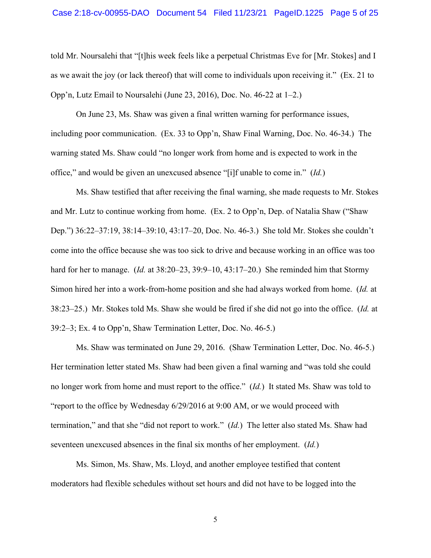told Mr. Noursalehi that "[t]his week feels like a perpetual Christmas Eve for [Mr. Stokes] and I as we await the joy (or lack thereof) that will come to individuals upon receiving it." (Ex. 21 to Opp'n, Lutz Email to Noursalehi (June 23, 2016), Doc. No. 46-22 at 1–2.)

On June 23, Ms. Shaw was given a final written warning for performance issues, including poor communication. (Ex. 33 to Opp'n, Shaw Final Warning, Doc. No. 46-34.) The warning stated Ms. Shaw could "no longer work from home and is expected to work in the office," and would be given an unexcused absence "[i]f unable to come in." (*Id.*)

Ms. Shaw testified that after receiving the final warning, she made requests to Mr. Stokes and Mr. Lutz to continue working from home. (Ex. 2 to Opp'n, Dep. of Natalia Shaw ("Shaw Dep.") 36:22–37:19, 38:14–39:10, 43:17–20, Doc. No. 46-3.) She told Mr. Stokes she couldn't come into the office because she was too sick to drive and because working in an office was too hard for her to manage. (*Id.* at 38:20–23, 39:9–10, 43:17–20.) She reminded him that Stormy Simon hired her into a work-from-home position and she had always worked from home. (*Id.* at 38:23–25.) Mr. Stokes told Ms. Shaw she would be fired if she did not go into the office. (*Id.* at 39:2–3; Ex. 4 to Opp'n, Shaw Termination Letter, Doc. No. 46-5.)

Ms. Shaw was terminated on June 29, 2016. (Shaw Termination Letter, Doc. No. 46-5.) Her termination letter stated Ms. Shaw had been given a final warning and "was told she could no longer work from home and must report to the office." (*Id.*) It stated Ms. Shaw was told to "report to the office by Wednesday 6/29/2016 at 9:00 AM, or we would proceed with termination," and that she "did not report to work." (*Id.*) The letter also stated Ms. Shaw had seventeen unexcused absences in the final six months of her employment. (*Id.*)

Ms. Simon, Ms. Shaw, Ms. Lloyd, and another employee testified that content moderators had flexible schedules without set hours and did not have to be logged into the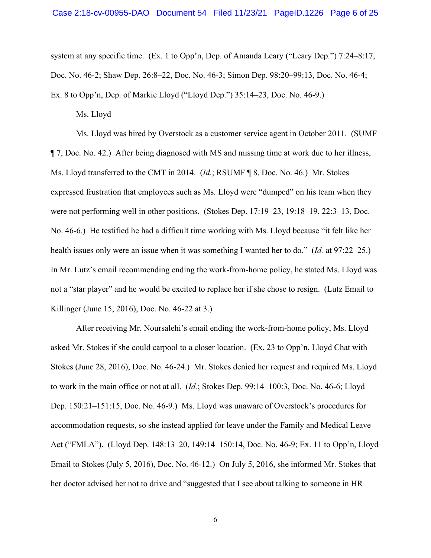system at any specific time. (Ex. 1 to Opp'n, Dep. of Amanda Leary ("Leary Dep.") 7:24–8:17, Doc. No. 46-2; Shaw Dep. 26:8–22, Doc. No. 46-3; Simon Dep. 98:20–99:13, Doc. No. 46-4; Ex. 8 to Opp'n, Dep. of Markie Lloyd ("Lloyd Dep.") 35:14–23, Doc. No. 46-9.)

# Ms. Lloyd

Ms. Lloyd was hired by Overstock as a customer service agent in October 2011. (SUMF ¶ 7, Doc. No. 42.) After being diagnosed with MS and missing time at work due to her illness, Ms. Lloyd transferred to the CMT in 2014. (*Id.*; RSUMF ¶ 8, Doc. No. 46.) Mr. Stokes expressed frustration that employees such as Ms. Lloyd were "dumped" on his team when they were not performing well in other positions. (Stokes Dep. 17:19–23, 19:18–19, 22:3–13, Doc. No. 46-6.) He testified he had a difficult time working with Ms. Lloyd because "it felt like her health issues only were an issue when it was something I wanted her to do." (*Id.* at 97:22–25.) In Mr. Lutz's email recommending ending the work-from-home policy, he stated Ms. Lloyd was not a "star player" and he would be excited to replace her if she chose to resign. (Lutz Email to Killinger (June 15, 2016), Doc. No. 46-22 at 3.)

After receiving Mr. Noursalehi's email ending the work-from-home policy, Ms. Lloyd asked Mr. Stokes if she could carpool to a closer location. (Ex. 23 to Opp'n, Lloyd Chat with Stokes (June 28, 2016), Doc. No. 46-24.) Mr. Stokes denied her request and required Ms. Lloyd to work in the main office or not at all. (*Id.*; Stokes Dep. 99:14–100:3, Doc. No. 46-6; Lloyd Dep. 150:21–151:15, Doc. No. 46-9.) Ms. Lloyd was unaware of Overstock's procedures for accommodation requests, so she instead applied for leave under the Family and Medical Leave Act ("FMLA"). (Lloyd Dep. 148:13–20, 149:14–150:14, Doc. No. 46-9; Ex. 11 to Opp'n, Lloyd Email to Stokes (July 5, 2016), Doc. No. 46-12.) On July 5, 2016, she informed Mr. Stokes that her doctor advised her not to drive and "suggested that I see about talking to someone in HR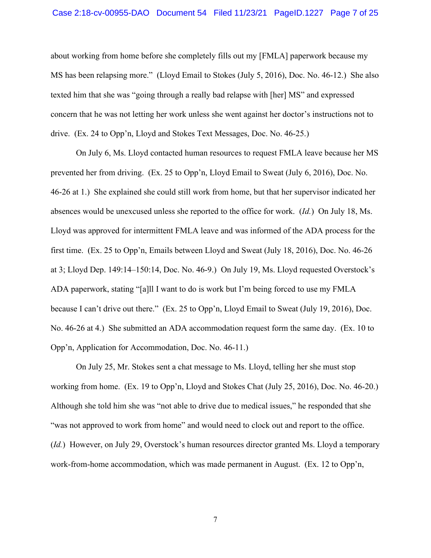about working from home before she completely fills out my [FMLA] paperwork because my MS has been relapsing more." (Lloyd Email to Stokes (July 5, 2016), Doc. No. 46-12.) She also texted him that she was "going through a really bad relapse with [her] MS" and expressed concern that he was not letting her work unless she went against her doctor's instructions not to drive. (Ex. 24 to Opp'n, Lloyd and Stokes Text Messages, Doc. No. 46-25.)

On July 6, Ms. Lloyd contacted human resources to request FMLA leave because her MS prevented her from driving. (Ex. 25 to Opp'n, Lloyd Email to Sweat (July 6, 2016), Doc. No. 46-26 at 1.) She explained she could still work from home, but that her supervisor indicated her absences would be unexcused unless she reported to the office for work. (*Id.*) On July 18, Ms. Lloyd was approved for intermittent FMLA leave and was informed of the ADA process for the first time. (Ex. 25 to Opp'n, Emails between Lloyd and Sweat (July 18, 2016), Doc. No. 46-26 at 3; Lloyd Dep. 149:14–150:14, Doc. No. 46-9.) On July 19, Ms. Lloyd requested Overstock's ADA paperwork, stating "[a]ll I want to do is work but I'm being forced to use my FMLA because I can't drive out there." (Ex. 25 to Opp'n, Lloyd Email to Sweat (July 19, 2016), Doc. No. 46-26 at 4.) She submitted an ADA accommodation request form the same day. (Ex. 10 to Opp'n, Application for Accommodation, Doc. No. 46-11.)

On July 25, Mr. Stokes sent a chat message to Ms. Lloyd, telling her she must stop working from home. (Ex. 19 to Opp'n, Lloyd and Stokes Chat (July 25, 2016), Doc. No. 46-20.) Although she told him she was "not able to drive due to medical issues," he responded that she "was not approved to work from home" and would need to clock out and report to the office. (*Id.*) However, on July 29, Overstock's human resources director granted Ms. Lloyd a temporary work-from-home accommodation, which was made permanent in August. (Ex. 12 to Opp'n,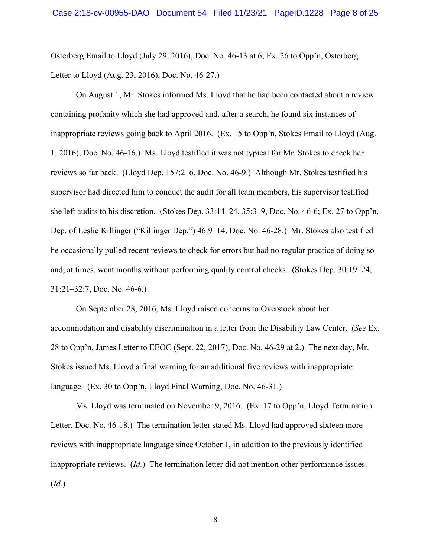Osterberg Email to Lloyd (July 29, 2016), Doc. No. 46-13 at 6; Ex. 26 to Opp'n, Osterberg Letter to Lloyd (Aug. 23, 2016), Doc. No. 46-27.)

On August 1, Mr. Stokes informed Ms. Lloyd that he had been contacted about a review containing profanity which she had approved and, after a search, he found six instances of inappropriate reviews going back to April 2016. (Ex. 15 to Opp'n, Stokes Email to Lloyd (Aug. 1, 2016), Doc. No. 46-16.) Ms. Lloyd testified it was not typical for Mr. Stokes to check her reviews so far back. (Lloyd Dep. 157:2–6, Doc. No. 46-9.) Although Mr. Stokes testified his supervisor had directed him to conduct the audit for all team members, his supervisor testified she left audits to his discretion. (Stokes Dep. 33:14–24, 35:3–9, Doc. No. 46-6; Ex. 27 to Opp'n, Dep. of Leslie Killinger ("Killinger Dep.") 46:9–14, Doc. No. 46-28.) Mr. Stokes also testified he occasionally pulled recent reviews to check for errors but had no regular practice of doing so and, at times, went months without performing quality control checks. (Stokes Dep. 30:19–24, 31:21–32:7, Doc. No. 46-6.)

On September 28, 2016, Ms. Lloyd raised concerns to Overstock about her accommodation and disability discrimination in a letter from the Disability Law Center. (*See* Ex. 28 to Opp'n, James Letter to EEOC (Sept. 22, 2017), Doc. No. 46-29 at 2.) The next day, Mr. Stokes issued Ms. Lloyd a final warning for an additional five reviews with inappropriate language. (Ex. 30 to Opp'n, Lloyd Final Warning, Doc. No. 46-31.)

Ms. Lloyd was terminated on November 9, 2016. (Ex. 17 to Opp'n, Lloyd Termination Letter, Doc. No. 46-18.) The termination letter stated Ms. Lloyd had approved sixteen more reviews with inappropriate language since October 1, in addition to the previously identified inappropriate reviews. (*Id.*) The termination letter did not mention other performance issues. (*Id.*)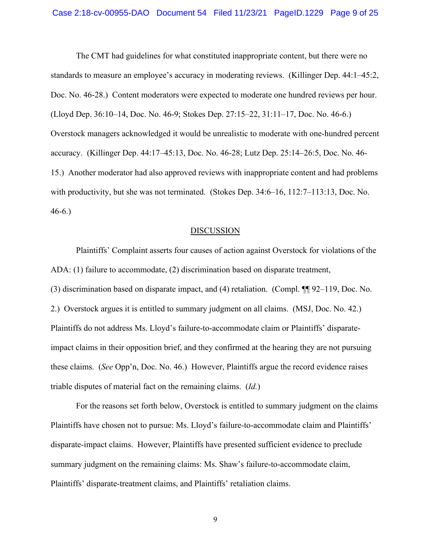The CMT had guidelines for what constituted inappropriate content, but there were no standards to measure an employee's accuracy in moderating reviews. (Killinger Dep. 44:1–45:2, Doc. No. 46-28.) Content moderators were expected to moderate one hundred reviews per hour. (Lloyd Dep. 36:10–14, Doc. No. 46-9; Stokes Dep. 27:15–22, 31:11–17, Doc. No. 46-6.) Overstock managers acknowledged it would be unrealistic to moderate with one-hundred percent accuracy. (Killinger Dep. 44:17–45:13, Doc. No. 46-28; Lutz Dep. 25:14–26:5, Doc. No. 46- 15.) Another moderator had also approved reviews with inappropriate content and had problems with productivity, but she was not terminated. (Stokes Dep. 34:6–16, 112:7–113:13, Doc. No. 46-6.)

#### **DISCUSSION**

Plaintiffs' Complaint asserts four causes of action against Overstock for violations of the ADA: (1) failure to accommodate, (2) discrimination based on disparate treatment, (3) discrimination based on disparate impact, and (4) retaliation. (Compl. ¶¶ 92–119, Doc. No. 2.) Overstock argues it is entitled to summary judgment on all claims. (MSJ, Doc. No. 42.) Plaintiffs do not address Ms. Lloyd's failure-to-accommodate claim or Plaintiffs' disparateimpact claims in their opposition brief, and they confirmed at the hearing they are not pursuing these claims. (*See* Opp'n, Doc. No. 46.) However, Plaintiffs argue the record evidence raises triable disputes of material fact on the remaining claims. (*Id.*)

For the reasons set forth below, Overstock is entitled to summary judgment on the claims Plaintiffs have chosen not to pursue: Ms. Lloyd's failure-to-accommodate claim and Plaintiffs' disparate-impact claims. However, Plaintiffs have presented sufficient evidence to preclude summary judgment on the remaining claims: Ms. Shaw's failure-to-accommodate claim, Plaintiffs' disparate-treatment claims, and Plaintiffs' retaliation claims.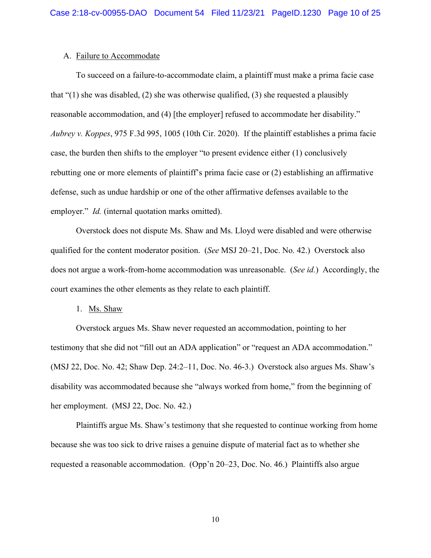# A. Failure to Accommodate

To succeed on a failure-to-accommodate claim, a plaintiff must make a prima facie case that "(1) she was disabled, (2) she was otherwise qualified, (3) she requested a plausibly reasonable accommodation, and (4) [the employer] refused to accommodate her disability." *Aubrey v. Koppes*, 975 F.3d 995, 1005 (10th Cir. 2020). If the plaintiff establishes a prima facie case, the burden then shifts to the employer "to present evidence either (1) conclusively rebutting one or more elements of plaintiff's prima facie case or (2) establishing an affirmative defense, such as undue hardship or one of the other affirmative defenses available to the employer." *Id.* (internal quotation marks omitted).

Overstock does not dispute Ms. Shaw and Ms. Lloyd were disabled and were otherwise qualified for the content moderator position. (*See* MSJ 20–21, Doc. No. 42.) Overstock also does not argue a work-from-home accommodation was unreasonable. (*See id.*) Accordingly, the court examines the other elements as they relate to each plaintiff.

#### 1. Ms. Shaw

Overstock argues Ms. Shaw never requested an accommodation, pointing to her testimony that she did not "fill out an ADA application" or "request an ADA accommodation." (MSJ 22, Doc. No. 42; Shaw Dep. 24:2–11, Doc. No. 46-3.) Overstock also argues Ms. Shaw's disability was accommodated because she "always worked from home," from the beginning of her employment. (MSJ 22, Doc. No. 42.)

Plaintiffs argue Ms. Shaw's testimony that she requested to continue working from home because she was too sick to drive raises a genuine dispute of material fact as to whether she requested a reasonable accommodation. (Opp'n 20–23, Doc. No. 46.) Plaintiffs also argue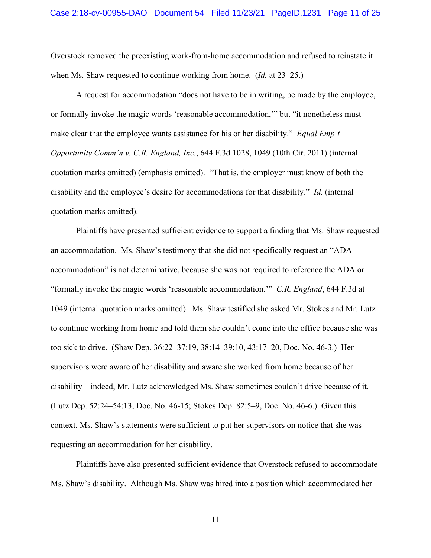Overstock removed the preexisting work-from-home accommodation and refused to reinstate it when Ms. Shaw requested to continue working from home. (*Id.* at 23–25.)

A request for accommodation "does not have to be in writing, be made by the employee, or formally invoke the magic words 'reasonable accommodation,'" but "it nonetheless must make clear that the employee wants assistance for his or her disability." *Equal Emp't Opportunity Comm'n v. C.R. England, Inc.*, 644 F.3d 1028, 1049 (10th Cir. 2011) (internal quotation marks omitted) (emphasis omitted). "That is, the employer must know of both the disability and the employee's desire for accommodations for that disability." *Id.* (internal quotation marks omitted).

Plaintiffs have presented sufficient evidence to support a finding that Ms. Shaw requested an accommodation. Ms. Shaw's testimony that she did not specifically request an "ADA accommodation" is not determinative, because she was not required to reference the ADA or "formally invoke the magic words 'reasonable accommodation.'" *C.R. England*, 644 F.3d at 1049 (internal quotation marks omitted). Ms. Shaw testified she asked Mr. Stokes and Mr. Lutz to continue working from home and told them she couldn't come into the office because she was too sick to drive. (Shaw Dep. 36:22–37:19, 38:14–39:10, 43:17–20, Doc. No. 46-3.) Her supervisors were aware of her disability and aware she worked from home because of her disability—indeed, Mr. Lutz acknowledged Ms. Shaw sometimes couldn't drive because of it. (Lutz Dep. 52:24–54:13, Doc. No. 46-15; Stokes Dep. 82:5–9, Doc. No. 46-6.) Given this context, Ms. Shaw's statements were sufficient to put her supervisors on notice that she was requesting an accommodation for her disability.

Plaintiffs have also presented sufficient evidence that Overstock refused to accommodate Ms. Shaw's disability. Although Ms. Shaw was hired into a position which accommodated her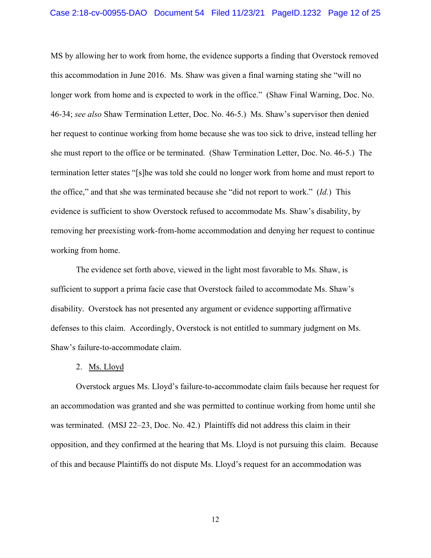MS by allowing her to work from home, the evidence supports a finding that Overstock removed this accommodation in June 2016. Ms. Shaw was given a final warning stating she "will no longer work from home and is expected to work in the office." (Shaw Final Warning, Doc. No. 46-34; *see also* Shaw Termination Letter, Doc. No. 46-5.) Ms. Shaw's supervisor then denied her request to continue working from home because she was too sick to drive, instead telling her she must report to the office or be terminated. (Shaw Termination Letter, Doc. No. 46-5.) The termination letter states "[s]he was told she could no longer work from home and must report to the office," and that she was terminated because she "did not report to work." (*Id.*) This evidence is sufficient to show Overstock refused to accommodate Ms. Shaw's disability, by removing her preexisting work-from-home accommodation and denying her request to continue working from home.

The evidence set forth above, viewed in the light most favorable to Ms. Shaw, is sufficient to support a prima facie case that Overstock failed to accommodate Ms. Shaw's disability. Overstock has not presented any argument or evidence supporting affirmative defenses to this claim. Accordingly, Overstock is not entitled to summary judgment on Ms. Shaw's failure-to-accommodate claim.

#### 2. <u>Ms. Lloyd</u>

Overstock argues Ms. Lloyd's failure-to-accommodate claim fails because her request for an accommodation was granted and she was permitted to continue working from home until she was terminated. (MSJ 22–23, Doc. No. 42.) Plaintiffs did not address this claim in their opposition, and they confirmed at the hearing that Ms. Lloyd is not pursuing this claim. Because of this and because Plaintiffs do not dispute Ms. Lloyd's request for an accommodation was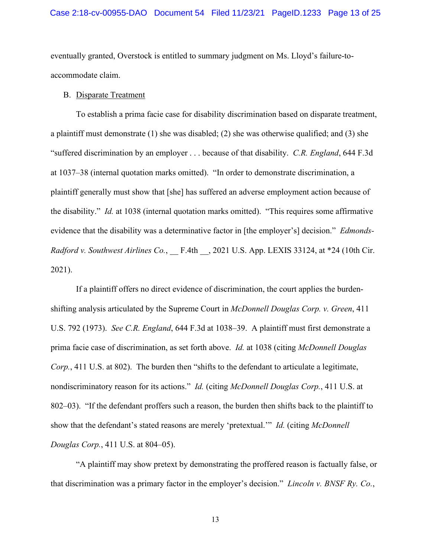eventually granted, Overstock is entitled to summary judgment on Ms. Lloyd's failure-toaccommodate claim.

# B. Disparate Treatment

To establish a prima facie case for disability discrimination based on disparate treatment, a plaintiff must demonstrate (1) she was disabled; (2) she was otherwise qualified; and (3) she "suffered discrimination by an employer . . . because of that disability. *C.R. England*, 644 F.3d at 1037–38 (internal quotation marks omitted). "In order to demonstrate discrimination, a plaintiff generally must show that [she] has suffered an adverse employment action because of the disability." *Id.* at 1038 (internal quotation marks omitted). "This requires some affirmative evidence that the disability was a determinative factor in [the employer's] decision." *Edmonds-Radford v. Southwest Airlines Co.*, \_\_ F.4th \_\_, 2021 U.S. App. LEXIS 33124, at \*24 (10th Cir. 2021).

If a plaintiff offers no direct evidence of discrimination, the court applies the burdenshifting analysis articulated by the Supreme Court in *McDonnell Douglas Corp. v. Green*, 411 U.S. 792 (1973). *See C.R. England*, 644 F.3d at 1038–39. A plaintiff must first demonstrate a prima facie case of discrimination, as set forth above. *Id.* at 1038 (citing *McDonnell Douglas Corp.*, 411 U.S. at 802). The burden then "shifts to the defendant to articulate a legitimate, nondiscriminatory reason for its actions." *Id.* (citing *McDonnell Douglas Corp.*, 411 U.S. at 802–03). "If the defendant proffers such a reason, the burden then shifts back to the plaintiff to show that the defendant's stated reasons are merely 'pretextual.'" *Id.* (citing *McDonnell Douglas Corp.*, 411 U.S. at 804–05).

"A plaintiff may show pretext by demonstrating the proffered reason is factually false, or that discrimination was a primary factor in the employer's decision." *Lincoln v. BNSF Ry. Co.*,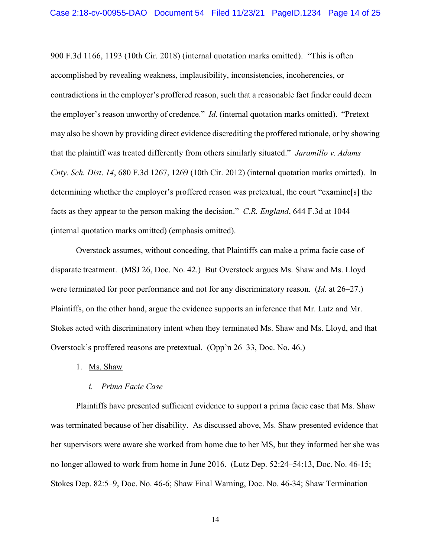900 F.3d 1166, 1193 (10th Cir. 2018) (internal quotation marks omitted). "This is often accomplished by revealing weakness, implausibility, inconsistencies, incoherencies, or contradictions in the employer's proffered reason, such that a reasonable fact finder could deem the employer's reason unworthy of credence." *Id*. (internal quotation marks omitted). "Pretext may also be shown by providing direct evidence discrediting the proffered rationale, or by showing that the plaintiff was treated differently from others similarly situated." *Jaramillo v. Adams Cnty. Sch. Dist*. *14*, 680 F.3d 1267, 1269 (10th Cir. 2012) (internal quotation marks omitted). In determining whether the employer's proffered reason was pretextual, the court "examine[s] the facts as they appear to the person making the decision." *C.R. England*, 644 F.3d at 1044 (internal quotation marks omitted) (emphasis omitted).

Overstock assumes, without conceding, that Plaintiffs can make a prima facie case of disparate treatment. (MSJ 26, Doc. No. 42.) But Overstock argues Ms. Shaw and Ms. Lloyd were terminated for poor performance and not for any discriminatory reason. (*Id.* at 26–27.) Plaintiffs, on the other hand, argue the evidence supports an inference that Mr. Lutz and Mr. Stokes acted with discriminatory intent when they terminated Ms. Shaw and Ms. Lloyd, and that Overstock's proffered reasons are pretextual. (Opp'n 26–33, Doc. No. 46.)

1. Ms. Shaw

#### *i. Prima Facie Case*

Plaintiffs have presented sufficient evidence to support a prima facie case that Ms. Shaw was terminated because of her disability. As discussed above, Ms. Shaw presented evidence that her supervisors were aware she worked from home due to her MS, but they informed her she was no longer allowed to work from home in June 2016. (Lutz Dep. 52:24–54:13, Doc. No. 46-15; Stokes Dep. 82:5–9, Doc. No. 46-6; Shaw Final Warning, Doc. No. 46-34; Shaw Termination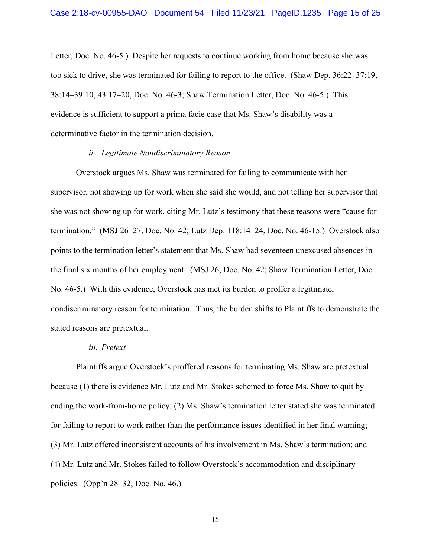Letter, Doc. No. 46-5.) Despite her requests to continue working from home because she was too sick to drive, she was terminated for failing to report to the office. (Shaw Dep. 36:22–37:19, 38:14–39:10, 43:17–20, Doc. No. 46-3; Shaw Termination Letter, Doc. No. 46-5.) This evidence is sufficient to support a prima facie case that Ms. Shaw's disability was a determinative factor in the termination decision.

### *ii. Legitimate Nondiscriminatory Reason*

Overstock argues Ms. Shaw was terminated for failing to communicate with her supervisor, not showing up for work when she said she would, and not telling her supervisor that she was not showing up for work, citing Mr. Lutz's testimony that these reasons were "cause for termination." (MSJ 26–27, Doc. No. 42; Lutz Dep. 118:14–24, Doc. No. 46-15.) Overstock also points to the termination letter's statement that Ms. Shaw had seventeen unexcused absences in the final six months of her employment. (MSJ 26, Doc. No. 42; Shaw Termination Letter, Doc. No. 46-5.) With this evidence, Overstock has met its burden to proffer a legitimate, nondiscriminatory reason for termination. Thus, the burden shifts to Plaintiffs to demonstrate the stated reasons are pretextual.

#### *iii. Pretext*

Plaintiffs argue Overstock's proffered reasons for terminating Ms. Shaw are pretextual because (1) there is evidence Mr. Lutz and Mr. Stokes schemed to force Ms. Shaw to quit by ending the work-from-home policy; (2) Ms. Shaw's termination letter stated she was terminated for failing to report to work rather than the performance issues identified in her final warning; (3) Mr. Lutz offered inconsistent accounts of his involvement in Ms. Shaw's termination; and (4) Mr. Lutz and Mr. Stokes failed to follow Overstock's accommodation and disciplinary policies. (Opp'n 28–32, Doc. No. 46.)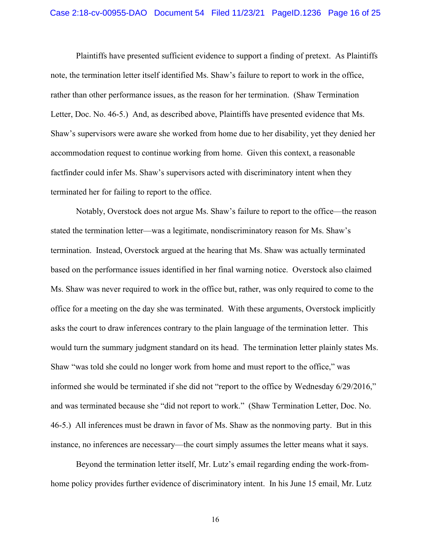Plaintiffs have presented sufficient evidence to support a finding of pretext. As Plaintiffs note, the termination letter itself identified Ms. Shaw's failure to report to work in the office, rather than other performance issues, as the reason for her termination. (Shaw Termination Letter, Doc. No. 46-5.) And, as described above, Plaintiffs have presented evidence that Ms. Shaw's supervisors were aware she worked from home due to her disability, yet they denied her accommodation request to continue working from home. Given this context, a reasonable factfinder could infer Ms. Shaw's supervisors acted with discriminatory intent when they terminated her for failing to report to the office.

Notably, Overstock does not argue Ms. Shaw's failure to report to the office—the reason stated the termination letter—was a legitimate, nondiscriminatory reason for Ms. Shaw's termination. Instead, Overstock argued at the hearing that Ms. Shaw was actually terminated based on the performance issues identified in her final warning notice. Overstock also claimed Ms. Shaw was never required to work in the office but, rather, was only required to come to the office for a meeting on the day she was terminated. With these arguments, Overstock implicitly asks the court to draw inferences contrary to the plain language of the termination letter. This would turn the summary judgment standard on its head. The termination letter plainly states Ms. Shaw "was told she could no longer work from home and must report to the office," was informed she would be terminated if she did not "report to the office by Wednesday 6/29/2016," and was terminated because she "did not report to work." (Shaw Termination Letter, Doc. No. 46-5.) All inferences must be drawn in favor of Ms. Shaw as the nonmoving party. But in this instance, no inferences are necessary—the court simply assumes the letter means what it says.

Beyond the termination letter itself, Mr. Lutz's email regarding ending the work-fromhome policy provides further evidence of discriminatory intent. In his June 15 email, Mr. Lutz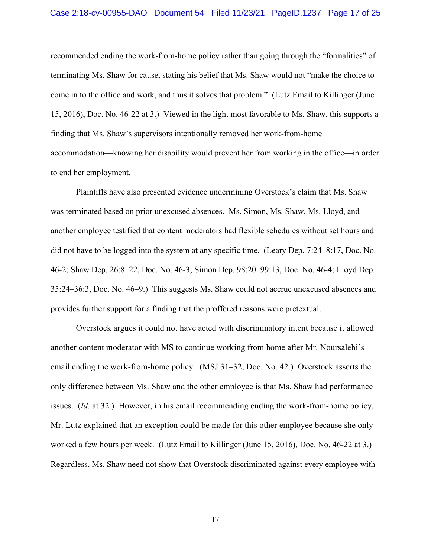recommended ending the work-from-home policy rather than going through the "formalities" of terminating Ms. Shaw for cause, stating his belief that Ms. Shaw would not "make the choice to come in to the office and work, and thus it solves that problem." (Lutz Email to Killinger (June 15, 2016), Doc. No. 46-22 at 3.) Viewed in the light most favorable to Ms. Shaw, this supports a finding that Ms. Shaw's supervisors intentionally removed her work-from-home accommodation—knowing her disability would prevent her from working in the office—in order to end her employment.

Plaintiffs have also presented evidence undermining Overstock's claim that Ms. Shaw was terminated based on prior unexcused absences. Ms. Simon, Ms. Shaw, Ms. Lloyd, and another employee testified that content moderators had flexible schedules without set hours and did not have to be logged into the system at any specific time. (Leary Dep. 7:24–8:17, Doc. No. 46-2; Shaw Dep. 26:8–22, Doc. No. 46-3; Simon Dep. 98:20–99:13, Doc. No. 46-4; Lloyd Dep. 35:24–36:3, Doc. No. 46–9.) This suggests Ms. Shaw could not accrue unexcused absences and provides further support for a finding that the proffered reasons were pretextual.

Overstock argues it could not have acted with discriminatory intent because it allowed another content moderator with MS to continue working from home after Mr. Noursalehi's email ending the work-from-home policy. (MSJ 31–32, Doc. No. 42.) Overstock asserts the only difference between Ms. Shaw and the other employee is that Ms. Shaw had performance issues. (*Id.* at 32.) However, in his email recommending ending the work-from-home policy, Mr. Lutz explained that an exception could be made for this other employee because she only worked a few hours per week. (Lutz Email to Killinger (June 15, 2016), Doc. No. 46-22 at 3.) Regardless, Ms. Shaw need not show that Overstock discriminated against every employee with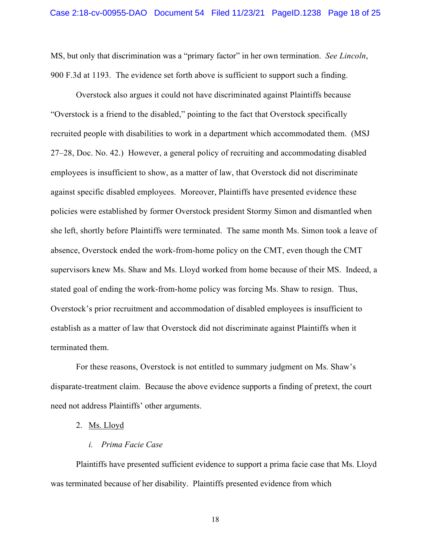MS, but only that discrimination was a "primary factor" in her own termination. *See Lincoln*, 900 F.3d at 1193. The evidence set forth above is sufficient to support such a finding.

Overstock also argues it could not have discriminated against Plaintiffs because "Overstock is a friend to the disabled," pointing to the fact that Overstock specifically recruited people with disabilities to work in a department which accommodated them. (MSJ 27–28, Doc. No. 42.) However, a general policy of recruiting and accommodating disabled employees is insufficient to show, as a matter of law, that Overstock did not discriminate against specific disabled employees. Moreover, Plaintiffs have presented evidence these policies were established by former Overstock president Stormy Simon and dismantled when she left, shortly before Plaintiffs were terminated. The same month Ms. Simon took a leave of absence, Overstock ended the work-from-home policy on the CMT, even though the CMT supervisors knew Ms. Shaw and Ms. Lloyd worked from home because of their MS. Indeed, a stated goal of ending the work-from-home policy was forcing Ms. Shaw to resign. Thus, Overstock's prior recruitment and accommodation of disabled employees is insufficient to establish as a matter of law that Overstock did not discriminate against Plaintiffs when it terminated them.

For these reasons, Overstock is not entitled to summary judgment on Ms. Shaw's disparate-treatment claim. Because the above evidence supports a finding of pretext, the court need not address Plaintiffs' other arguments.

2. Ms. Lloyd

# *i. Prima Facie Case*

Plaintiffs have presented sufficient evidence to support a prima facie case that Ms. Lloyd was terminated because of her disability. Plaintiffs presented evidence from which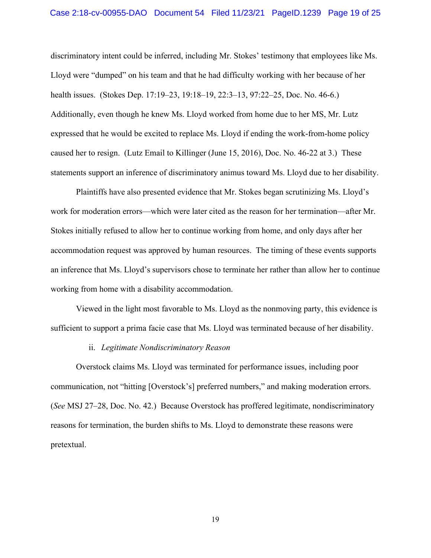discriminatory intent could be inferred, including Mr. Stokes' testimony that employees like Ms. Lloyd were "dumped" on his team and that he had difficulty working with her because of her health issues. (Stokes Dep. 17:19–23, 19:18–19, 22:3–13, 97:22–25, Doc. No. 46-6.) Additionally, even though he knew Ms. Lloyd worked from home due to her MS, Mr. Lutz expressed that he would be excited to replace Ms. Lloyd if ending the work-from-home policy caused her to resign. (Lutz Email to Killinger (June 15, 2016), Doc. No. 46-22 at 3.) These statements support an inference of discriminatory animus toward Ms. Lloyd due to her disability.

Plaintiffs have also presented evidence that Mr. Stokes began scrutinizing Ms. Lloyd's work for moderation errors—which were later cited as the reason for her termination—after Mr. Stokes initially refused to allow her to continue working from home, and only days after her accommodation request was approved by human resources. The timing of these events supports an inference that Ms. Lloyd's supervisors chose to terminate her rather than allow her to continue working from home with a disability accommodation.

Viewed in the light most favorable to Ms. Lloyd as the nonmoving party, this evidence is sufficient to support a prima facie case that Ms. Lloyd was terminated because of her disability.

### ii. *Legitimate Nondiscriminatory Reason*

Overstock claims Ms. Lloyd was terminated for performance issues, including poor communication, not "hitting [Overstock's] preferred numbers," and making moderation errors. (*See* MSJ 27–28, Doc. No. 42.) Because Overstock has proffered legitimate, nondiscriminatory reasons for termination, the burden shifts to Ms. Lloyd to demonstrate these reasons were pretextual.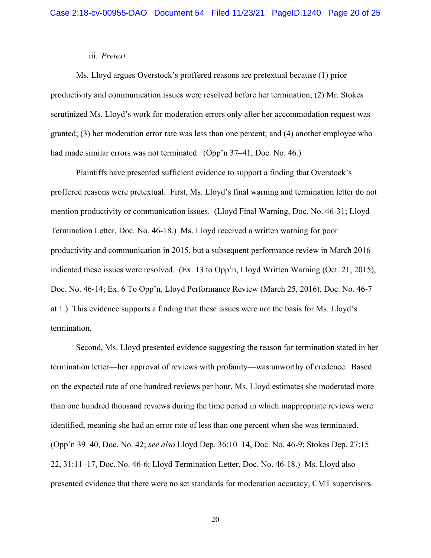## iii. *Pretext*

Ms. Lloyd argues Overstock's proffered reasons are pretextual because (1) prior productivity and communication issues were resolved before her termination; (2) Mr. Stokes scrutinized Ms. Lloyd's work for moderation errors only after her accommodation request was granted; (3) her moderation error rate was less than one percent; and (4) another employee who had made similar errors was not terminated. (Opp'n 37–41, Doc. No. 46.)

Plaintiffs have presented sufficient evidence to support a finding that Overstock's proffered reasons were pretextual. First, Ms. Lloyd's final warning and termination letter do not mention productivity or communication issues. (Lloyd Final Warning, Doc. No. 46-31; Lloyd Termination Letter, Doc. No. 46-18.) Ms. Lloyd received a written warning for poor productivity and communication in 2015, but a subsequent performance review in March 2016 indicated these issues were resolved. (Ex. 13 to Opp'n, Lloyd Written Warning (Oct. 21, 2015), Doc. No. 46-14; Ex. 6 To Opp'n, Lloyd Performance Review (March 25, 2016), Doc. No. 46-7 at 1.) This evidence supports a finding that these issues were not the basis for Ms. Lloyd's termination.

Second, Ms. Lloyd presented evidence suggesting the reason for termination stated in her termination letter—her approval of reviews with profanity—was unworthy of credence. Based on the expected rate of one hundred reviews per hour, Ms. Lloyd estimates she moderated more than one hundred thousand reviews during the time period in which inappropriate reviews were identified, meaning she had an error rate of less than one percent when she was terminated. (Opp'n 39–40, Doc. No. 42; *see also* Lloyd Dep. 36:10–14, Doc. No. 46-9; Stokes Dep. 27:15– 22, 31:11–17, Doc. No. 46-6; Lloyd Termination Letter, Doc. No. 46-18.) Ms. Lloyd also presented evidence that there were no set standards for moderation accuracy, CMT supervisors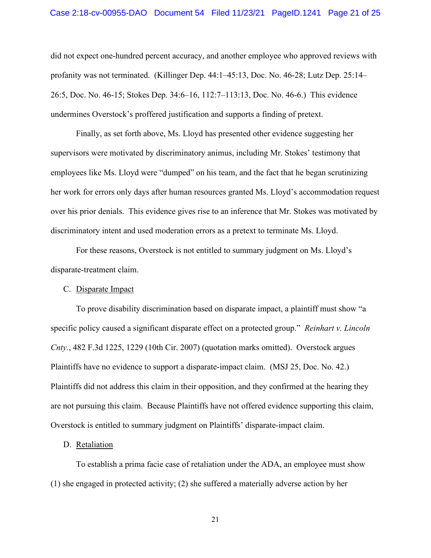did not expect one-hundred percent accuracy, and another employee who approved reviews with profanity was not terminated. (Killinger Dep. 44:1–45:13, Doc. No. 46-28; Lutz Dep. 25:14– 26:5, Doc. No. 46-15; Stokes Dep. 34:6–16, 112:7–113:13, Doc. No. 46-6.) This evidence undermines Overstock's proffered justification and supports a finding of pretext.

Finally, as set forth above, Ms. Lloyd has presented other evidence suggesting her supervisors were motivated by discriminatory animus, including Mr. Stokes' testimony that employees like Ms. Lloyd were "dumped" on his team, and the fact that he began scrutinizing her work for errors only days after human resources granted Ms. Lloyd's accommodation request over his prior denials. This evidence gives rise to an inference that Mr. Stokes was motivated by discriminatory intent and used moderation errors as a pretext to terminate Ms. Lloyd.

For these reasons, Overstock is not entitled to summary judgment on Ms. Lloyd's disparate-treatment claim.

#### C. Disparate Impact

To prove disability discrimination based on disparate impact, a plaintiff must show "a specific policy caused a significant disparate effect on a protected group." *Reinhart v. Lincoln Cnty.*, 482 F.3d 1225, 1229 (10th Cir. 2007) (quotation marks omitted). Overstock argues Plaintiffs have no evidence to support a disparate-impact claim. (MSJ 25, Doc. No. 42.) Plaintiffs did not address this claim in their opposition, and they confirmed at the hearing they are not pursuing this claim. Because Plaintiffs have not offered evidence supporting this claim, Overstock is entitled to summary judgment on Plaintiffs' disparate-impact claim.

### D. Retaliation

To establish a prima facie case of retaliation under the ADA, an employee must show (1) she engaged in protected activity; (2) she suffered a materially adverse action by her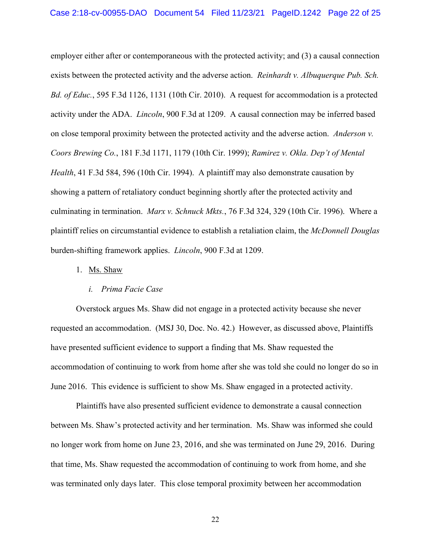employer either after or contemporaneous with the protected activity; and (3) a causal connection exists between the protected activity and the adverse action. *Reinhardt v. Albuquerque Pub. Sch. Bd. of Educ.*, 595 F.3d 1126, 1131 (10th Cir. 2010). A request for accommodation is a protected activity under the ADA. *Lincoln*, 900 F.3d at 1209. A causal connection may be inferred based on close temporal proximity between the protected activity and the adverse action. *Anderson v. Coors Brewing Co.*, 181 F.3d 1171, 1179 (10th Cir. 1999); *Ramirez v. Okla. Dep't of Mental Health*, 41 F.3d 584, 596 (10th Cir. 1994). A plaintiff may also demonstrate causation by showing a pattern of retaliatory conduct beginning shortly after the protected activity and culminating in termination. *Marx v. Schnuck Mkts.*, 76 F.3d 324, 329 (10th Cir. 1996). Where a plaintiff relies on circumstantial evidence to establish a retaliation claim, the *McDonnell Douglas* burden-shifting framework applies. *Lincoln*, 900 F.3d at 1209.

#### 1. Ms. Shaw

# *i. Prima Facie Case*

Overstock argues Ms. Shaw did not engage in a protected activity because she never requested an accommodation. (MSJ 30, Doc. No. 42.) However, as discussed above, Plaintiffs have presented sufficient evidence to support a finding that Ms. Shaw requested the accommodation of continuing to work from home after she was told she could no longer do so in June 2016. This evidence is sufficient to show Ms. Shaw engaged in a protected activity.

Plaintiffs have also presented sufficient evidence to demonstrate a causal connection between Ms. Shaw's protected activity and her termination. Ms. Shaw was informed she could no longer work from home on June 23, 2016, and she was terminated on June 29, 2016. During that time, Ms. Shaw requested the accommodation of continuing to work from home, and she was terminated only days later. This close temporal proximity between her accommodation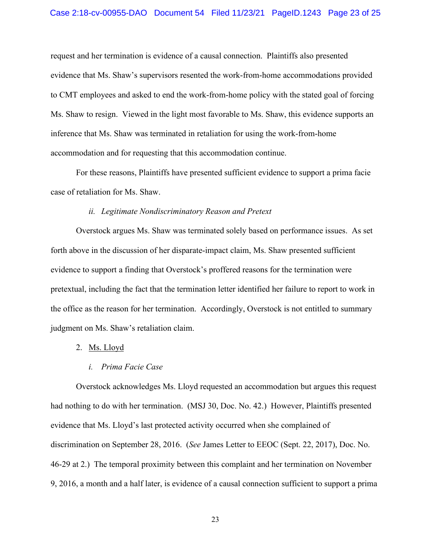request and her termination is evidence of a causal connection. Plaintiffs also presented evidence that Ms. Shaw's supervisors resented the work-from-home accommodations provided to CMT employees and asked to end the work-from-home policy with the stated goal of forcing Ms. Shaw to resign. Viewed in the light most favorable to Ms. Shaw, this evidence supports an inference that Ms. Shaw was terminated in retaliation for using the work-from-home accommodation and for requesting that this accommodation continue.

For these reasons, Plaintiffs have presented sufficient evidence to support a prima facie case of retaliation for Ms. Shaw.

# *ii. Legitimate Nondiscriminatory Reason and Pretext*

Overstock argues Ms. Shaw was terminated solely based on performance issues. As set forth above in the discussion of her disparate-impact claim, Ms. Shaw presented sufficient evidence to support a finding that Overstock's proffered reasons for the termination were pretextual, including the fact that the termination letter identified her failure to report to work in the office as the reason for her termination. Accordingly, Overstock is not entitled to summary judgment on Ms. Shaw's retaliation claim.

- 2. Ms. Lloyd
	- *i. Prima Facie Case*

Overstock acknowledges Ms. Lloyd requested an accommodation but argues this request had nothing to do with her termination. (MSJ 30, Doc. No. 42.) However, Plaintiffs presented evidence that Ms. Lloyd's last protected activity occurred when she complained of discrimination on September 28, 2016. (*See* James Letter to EEOC (Sept. 22, 2017), Doc. No. 46-29 at 2.) The temporal proximity between this complaint and her termination on November 9, 2016, a month and a half later, is evidence of a causal connection sufficient to support a prima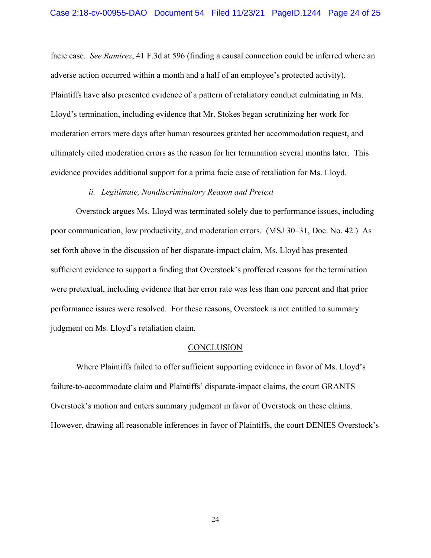facie case. *See Ramirez*, 41 F.3d at 596 (finding a causal connection could be inferred where an adverse action occurred within a month and a half of an employee's protected activity). Plaintiffs have also presented evidence of a pattern of retaliatory conduct culminating in Ms. Lloyd's termination, including evidence that Mr. Stokes began scrutinizing her work for moderation errors mere days after human resources granted her accommodation request, and ultimately cited moderation errors as the reason for her termination several months later. This evidence provides additional support for a prima facie case of retaliation for Ms. Lloyd.

### *ii. Legitimate, Nondiscriminatory Reason and Pretext*

Overstock argues Ms. Lloyd was terminated solely due to performance issues, including poor communication, low productivity, and moderation errors. (MSJ 30–31, Doc. No. 42.) As set forth above in the discussion of her disparate-impact claim, Ms. Lloyd has presented sufficient evidence to support a finding that Overstock's proffered reasons for the termination were pretextual, including evidence that her error rate was less than one percent and that prior performance issues were resolved. For these reasons, Overstock is not entitled to summary judgment on Ms. Lloyd's retaliation claim.

#### **CONCLUSION**

Where Plaintiffs failed to offer sufficient supporting evidence in favor of Ms. Lloyd's failure-to-accommodate claim and Plaintiffs' disparate-impact claims, the court GRANTS Overstock's motion and enters summary judgment in favor of Overstock on these claims. However, drawing all reasonable inferences in favor of Plaintiffs, the court DENIES Overstock's